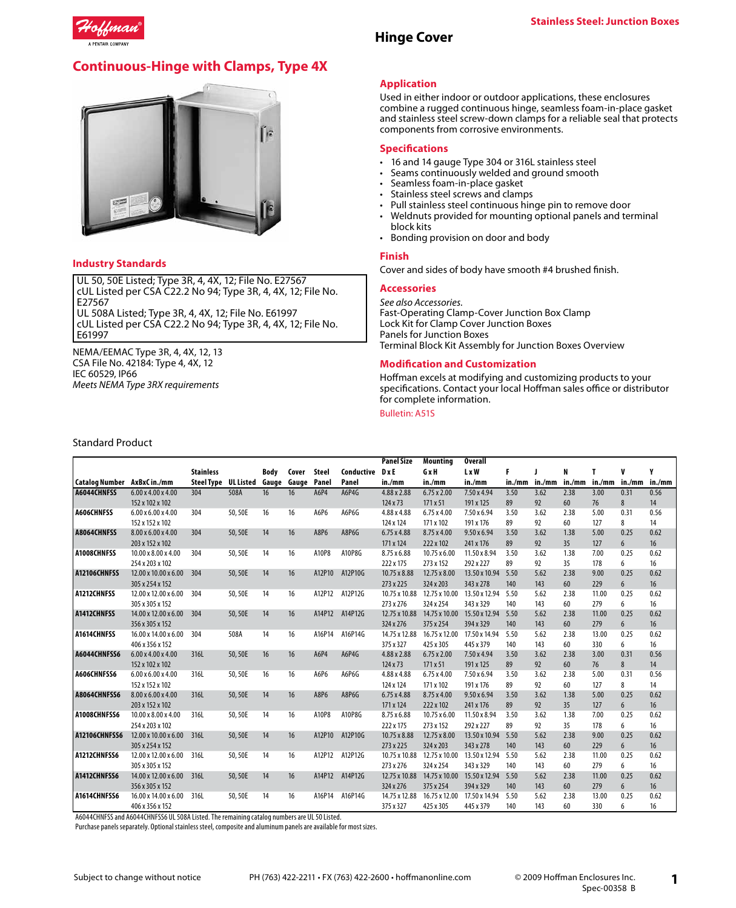

# **Continuous-Hinge with Clamps, Type 4X**



#### **Industry Standards**

UL 50, 50E Listed; Type 3R, 4, 4X, 12; File No. E27567 cUL Listed per CSA C22.2 No 94; Type 3R, 4, 4X, 12; File No. E27567 UL 508A Listed; Type 3R, 4, 4X, 12; File No. E61997 cUL Listed per CSA C22.2 No 94; Type 3R, 4, 4X, 12; File No. E61997

NEMA/EEMAC Type 3R, 4, 4X, 12, 13 CSA File No. 42184: Type 4, 4X, 12 IEC 60529, IP66 *Meets NEMA Type 3RX requirements*

# **Application**

**Hinge Cover**

Used in either indoor or outdoor applications, these enclosures combine a rugged continuous hinge, seamless foam-in-place gasket and stainless steel screw-down clamps for a reliable seal that protects components from corrosive environments.

## **Specifications**

- 16 and 14 gauge Type 304 or 316L stainless steel
- Seams continuously welded and ground smooth
- Seamless foam-in-place gasket
- Stainless steel screws and clamps
- Pull stainless steel continuous hinge pin to remove door
- Weldnuts provided for mounting optional panels and terminal block kits
- Bonding provision on door and body

#### **Finish**

Cover and sides of body have smooth #4 brushed finish.

## **Accessories**

*See also Accessories.* Fast-Operating Clamp-Cover Junction Box Clamp Lock Kit for Clamp Cover Junction Boxes Panels for Junction Boxes Terminal Block Kit Assembly for Junction Boxes Overview

## **Modification and Customization**

Hoffman excels at modifying and customizing products to your specifications. Contact your local Hoffman sales office or distributor for complete information.

#### Bulletin: A51S

|                             |                                  |                   |           |             |       |              |            | <b>Panel Size</b> | Mountina           | <b>Overall</b>     |        |        |        |        |        |        |
|-----------------------------|----------------------------------|-------------------|-----------|-------------|-------|--------------|------------|-------------------|--------------------|--------------------|--------|--------|--------|--------|--------|--------|
|                             |                                  | <b>Stainless</b>  |           | <b>Body</b> | Cover | <b>Steel</b> | Conductive | DxE               | GxH                | L x W              | F      |        | N      | т      | V      | ٧      |
| Catalog Number AxBxC in./mm |                                  | <b>Steel Type</b> | UL Listed | Gauge Gauge |       | Panel        | Panel      | in./mm            | in./mm             | in./mm             | in./mm | in./mm | in./mm | in./mm | in./mm | in./mm |
| A6044CHNFSS                 | 6.00 x 4.00 x 4.00               | 304               | 508A      | 16          | 16    | A6P4         | A6P4G      | 4.88 x 2.88       | $6.75 \times 2.00$ | 7.50 x 4.94        | 3.50   | 3.62   | 2.38   | 3.00   | 0.31   | 0.56   |
|                             | 152 x 102 x 102                  |                   |           |             |       |              |            | 124 x 73          | 171 x 51           | 191 x 125          | 89     | 92     | 60     | 76     | 8      | 14     |
| A606CHNFSS                  | $6.00 \times 6.00 \times 4.00$   | 304               | 50, 50E   | 16          | 16    | A6P6         | A6P6G      | 4.88 x 4.88       | $6.75 \times 4.00$ | $7.50 \times 6.94$ | 3.50   | 3.62   | 2.38   | 5.00   | 0.31   | 0.56   |
|                             | 152 x 152 x 102                  |                   |           |             |       |              |            | 124 x 124         | 171 x 102          | 191 x 176          | 89     | 92     | 60     | 127    | 8      | 14     |
| A8064CHNFSS                 | 8.00 x 6.00 x 4.00               | 304               | 50,50E    | 14          | 16    | A8P6         | A8P6G      | 6.75 x 4.88       | 8.75 x 4.00        | $9.50 \times 6.94$ | 3.50   | 3.62   | 1.38   | 5.00   | 0.25   | 0.62   |
|                             | 203 x 152 x 102                  |                   |           |             |       |              |            | 171 x 124         | 222 x 102          | 241 x 176          | 89     | 92     | 35     | 127    | 6      | 16     |
| A1008CHNFSS                 | $10.00 \times 8.00 \times 4.00$  | 304               | 50,50E    | 14          | 16    | A10P8        | A10P8G     | 8.75 x 6.88       | 10.75 x 6.00       | 11.50 x 8.94       | 3.50   | 3.62   | 1.38   | 7.00   | 0.25   | 0.62   |
|                             | 254 x 203 x 102                  |                   |           |             |       |              |            | 222 x 175         | 273 x 152          | 292 x 227          | 89     | 92     | 35     | 178    | 6      | 16     |
| A12106CHNFSS                | 12.00 x 10.00 x 6.00             | 304               | 50,50E    | 14          | 16    | A12P10       | A12P10G    | 10.75 x 8.88      | 12.75 x 8.00       | 13.50 x 10.94      | 5.50   | 5.62   | 2.38   | 9.00   | 0.25   | 0.62   |
|                             | 305 x 254 x 152                  |                   |           |             |       |              |            | 273 x 225         | 324 x 203          | 343 x 278          | 140    | 143    | 60     | 229    | 6      | 16     |
| A1212CHNFSS                 | 12.00 x 12.00 x 6.00             | 304               | 50,50E    | 14          | 16    | A12P12       | A12P12G    | 10.75 x 10.88     | 12.75 x 10.00      | 13.50 x 12.94      | 5.50   | 5.62   | 2.38   | 11.00  | 0.25   | 0.62   |
|                             | 305 x 305 x 152                  |                   |           |             |       |              |            | 273 x 276         | 324 x 254          | 343 x 329          | 140    | 143    | 60     | 279    | 6      | 16     |
| A1412CHNFSS                 | 14.00 x 12.00 x 6.00             | 304               | 50,50E    | 14          | 16    | A14P12       | A14P12G    | 12.75 x 10.88     | 14.75 x 10.00      | 15.50 x 12.94      | 5.50   | 5.62   | 2.38   | 11.00  | 0.25   | 0.62   |
|                             | 356 x 305 x 152                  |                   |           |             |       |              |            | 324 x 276         | 375 x 254          | 394 x 329          | 140    | 143    | 60     | 279    | 6      | 16     |
| A1614CHNFSS                 | 16.00 x 14.00 x 6.00             | 304               | 508A      | 14          | 16    | A16P14       | A16P14G    | 14.75 x 12.88     | 16.75 x 12.00      | 17.50 x 14.94      | 5.50   | 5.62   | 2.38   | 13.00  | 0.25   | 0.62   |
|                             | 406 x 356 x 152                  |                   |           |             |       |              |            | 375 x 327         | 425 x 305          | 445 x 379          | 140    | 143    | 60     | 330    | 6      | 16     |
| A6044CHNFSS6                | 6.00 x 4.00 x 4.00               | 316L              | 50,50E    | 16          | 16    | A6P4         | A6P4G      | 4.88 x 2.88       | $6.75 \times 2.00$ | 7.50 x 4.94        | 3.50   | 3.62   | 2.38   | 3.00   | 0.31   | 0.56   |
|                             | 152 x 102 x 102                  |                   |           |             |       |              |            | 124 x 73          | 171 x 51           | 191 x 125          | 89     | 92     | 60     | 76     | 8      | 14     |
| A606CHNFSS6                 | $6.00 \times 6.00 \times 4.00$   | 316L              | 50,50E    | 16          | 16    | A6P6         | A6P6G      | 4.88 x 4.88       | $6.75 \times 4.00$ | 7.50 x 6.94        | 3.50   | 3.62   | 2.38   | 5.00   | 0.31   | 0.56   |
|                             | 152 x 152 x 102                  |                   |           |             |       |              |            | 124 x 124         | 171 x 102          | 191 x 176          | 89     | 92     | 60     | 127    | 8      | 14     |
| A8064CHNFSS6                | 8.00 x 6.00 x 4.00               | 316L              | 50,50E    | 14          | 16    | A8P6         | A8P6G      | 6.75 x 4.88       | 8.75 x 4.00        | $9.50 \times 6.94$ | 3.50   | 3.62   | 1.38   | 5.00   | 0.25   | 0.62   |
|                             | 203 x 152 x 102                  |                   |           |             |       |              |            | 171 x 124         | 222 x 102          | 241 x 176          | 89     | 92     | 35     | 127    | 6      | 16     |
| A1008CHNFSS6                | $10.00 \times 8.00 \times 4.00$  | 316L              | 50,50E    | 14          | 16    | A10P8        | A10P8G     | 8.75 x 6.88       | 10.75 x 6.00       | 11.50 x 8.94       | 3.50   | 3.62   | 1.38   | 7.00   | 0.25   | 0.62   |
|                             | 254 x 203 x 102                  |                   |           |             |       |              |            | 222 x 175         | 273 x 152          | 292 x 227          | 89     | 92     | 35     | 178    | 6      | 16     |
| A12106CHNFSS6               | $12.00 \times 10.00 \times 6.00$ | 316L              | 50,50E    | 14          | 16    | A12P10       | A12P10G    | 10.75 x 8.88      | 12.75 x 8.00       | 13.50 x 10.94 5.50 |        | 5.62   | 2.38   | 9.00   | 0.25   | 0.62   |
|                             | 305 x 254 x 152                  |                   |           |             |       |              |            | 273 x 225         | 324 x 203          | 343 x 278          | 140    | 143    | 60     | 229    | 6      | 16     |
| A1212CHNFSS6                | 12.00 x 12.00 x 6.00             | 316L              | 50,50E    | 14          | 16    | A12P12       | A12P12G    | 10.75 x 10.88     | 12.75 x 10.00      | 13.50 x 12.94      | 5.50   | 5.62   | 2.38   | 11.00  | 0.25   | 0.62   |
|                             | 305 x 305 x 152                  |                   |           |             |       |              |            | 273 x 276         | 324 x 254          | 343 x 329          | 140    | 143    | 60     | 279    | 6      | 16     |
| A1412CHNFSS6                | 14.00 x 12.00 x 6.00             | 316L              | 50,50E    | 14          | 16    | A14P12       | A14P12G    | 12.75 x 10.88     | 14.75 x 10.00      | 15.50 x 12.94      | 5.50   | 5.62   | 2.38   | 11.00  | 0.25   | 0.62   |
|                             | 356 x 305 x 152                  |                   |           |             |       |              |            | 324 x 276         | 375 x 254          | 394 x 329          | 140    | 143    | 60     | 279    | 6      | 16     |
| A1614CHNFSS6                | 16.00 x 14.00 x 6.00             | 316L              | 50,50E    | 14          | 16    | A16P14       | A16P14G    | 14.75 x 12.88     | 16.75 x 12.00      | 17.50 x 14.94      | 5.50   | 5.62   | 2.38   | 13.00  | 0.25   | 0.62   |
|                             | 406 x 356 x 152                  |                   |           |             |       |              |            | 375 x 327         | 425 x 305          | 445 x 379          | 140    | 143    | 60     | 330    | 6      | 16     |

A6044CHNFSS and A6044CHNFSS6 UL 508A Listed. The remaining catalog numbers are UL 50 Listed.

Purchase panels separately. Optional stainless steel, composite and aluminum panels are available for most sizes.